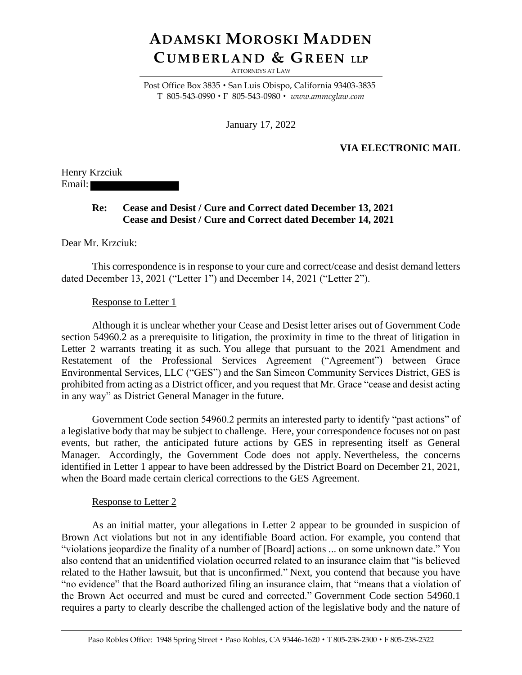# **ADAMSKI MOROSKI MADDEN CU M B E R L A N D & GR E E N LLP**

ATTORNEYS AT LAW

Post Office Box 3835 · San Luis Obispo, California 93403-3835 T 805-543-0990 F 805-543-0980 *www.ammcglaw.com*

January 17, 2022

## **VIA ELECTRONIC MAIL**

Henry Krzciuk Email:

### **Re: Cease and Desist / Cure and Correct dated December 13, 2021 Cease and Desist / Cure and Correct dated December 14, 2021**

Dear Mr. Krzciuk:

This correspondence is in response to your cure and correct/cease and desist demand letters dated December 13, 2021 ("Letter 1") and December 14, 2021 ("Letter 2").

#### Response to Letter 1

Although it is unclear whether your Cease and Desist letter arises out of Government Code section 54960.2 as a prerequisite to litigation, the proximity in time to the threat of litigation in Letter 2 warrants treating it as such. You allege that pursuant to the 2021 Amendment and Restatement of the Professional Services Agreement ("Agreement") between Grace Environmental Services, LLC ("GES") and the San Simeon Community Services District, GES is prohibited from acting as a District officer, and you request that Mr. Grace "cease and desist acting in any way" as District General Manager in the future.

Government Code section 54960.2 permits an interested party to identify "past actions" of a legislative body that may be subject to challenge. Here, your correspondence focuses not on past events, but rather, the anticipated future actions by GES in representing itself as General Manager. Accordingly, the Government Code does not apply. Nevertheless, the concerns identified in Letter 1 appear to have been addressed by the District Board on December 21, 2021, when the Board made certain clerical corrections to the GES Agreement.

#### Response to Letter 2

As an initial matter, your allegations in Letter 2 appear to be grounded in suspicion of Brown Act violations but not in any identifiable Board action. For example, you contend that "violations jeopardize the finality of a number of [Board] actions ... on some unknown date." You also contend that an unidentified violation occurred related to an insurance claim that "is believed related to the Hather lawsuit, but that is unconfirmed." Next, you contend that because you have "no evidence" that the Board authorized filing an insurance claim, that "means that a violation of the Brown Act occurred and must be cured and corrected." Government Code section 54960.1 requires a party to clearly describe the challenged action of the legislative body and the nature of